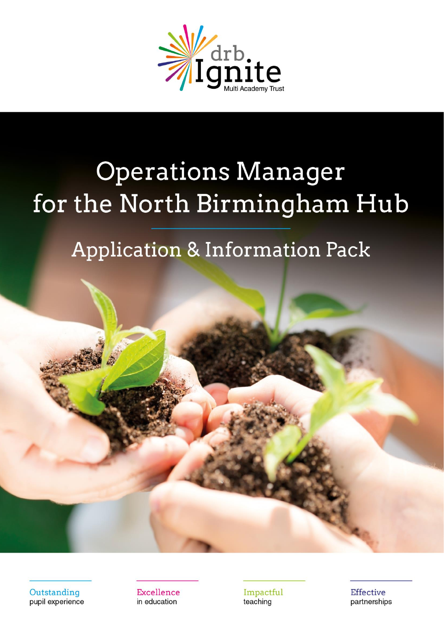

# **Operations Manager** for the North Birmingham Hub

## **Application & Information Pack**

Outstanding pupil experience Excellence in education

Impactful teaching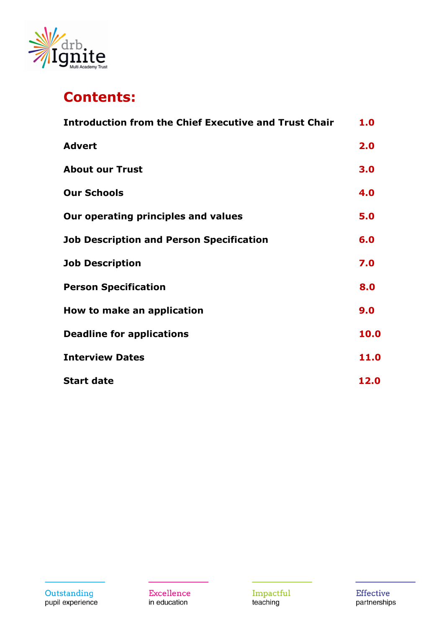

## **Contents:**

| <b>Introduction from the Chief Executive and Trust Chair</b> | 1.0  |
|--------------------------------------------------------------|------|
| <b>Advert</b>                                                | 2.0  |
| <b>About our Trust</b>                                       | 3.0  |
| <b>Our Schools</b>                                           | 4.0  |
| Our operating principles and values                          | 5.0  |
| <b>Job Description and Person Specification</b>              | 6.0  |
| <b>Job Description</b>                                       | 7.0  |
| <b>Person Specification</b>                                  | 8.0  |
| How to make an application                                   | 9.0  |
| <b>Deadline for applications</b>                             | 10.0 |
| <b>Interview Dates</b>                                       | 11.0 |
| <b>Start date</b>                                            | 12.0 |

Excellence in education

Impactful<br>teaching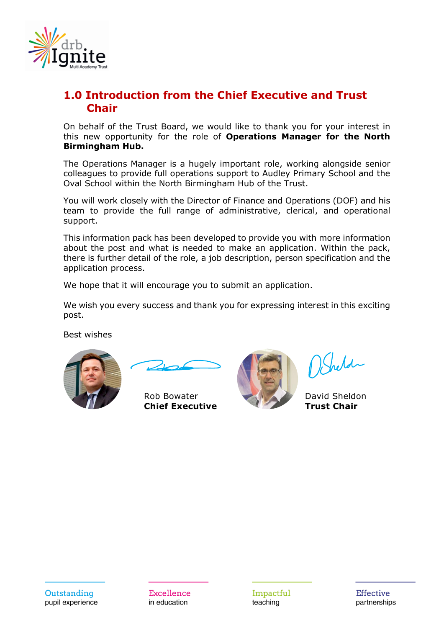

## **1.0 Introduction from the Chief Executive and Trust Chair**

On behalf of the Trust Board, we would like to thank you for your interest in this new opportunity for the role of **Operations Manager for the North Birmingham Hub.**

The Operations Manager is a hugely important role, working alongside senior colleagues to provide full operations support to Audley Primary School and the Oval School within the North Birmingham Hub of the Trust.

You will work closely with the Director of Finance and Operations (DOF) and his team to provide the full range of administrative, clerical, and operational support.

This information pack has been developed to provide you with more information about the post and what is needed to make an application. Within the pack, there is further detail of the role, a job description, person specification and the application process.

We hope that it will encourage you to submit an application.

We wish you every success and thank you for expressing interest in this exciting post.

Best wishes



Rob Bowater **David Sheldon Chief Executive Trust Chair**



Sheld-

Excellence in education

Impactful teaching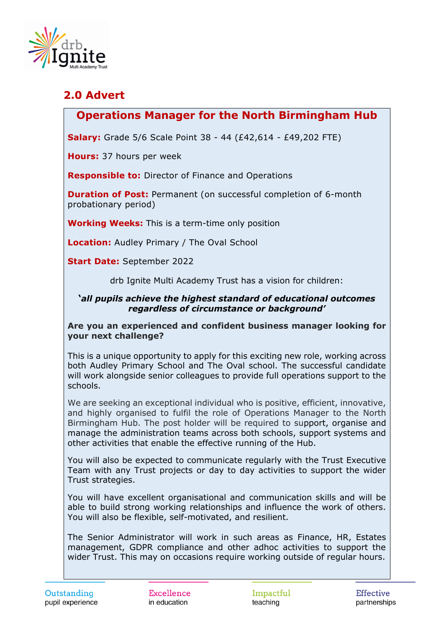

## **2.0 Advert**

### **Operations Manager for the North Birmingham Hub**

**Salary:** Grade 5/6 Scale Point 38 - 44 (£42,614 - £49,202 FTE)

**Hours:** 37 hours per week

**Responsible to:** Director of Finance and Operations

**Duration of Post:** Permanent (on successful completion of 6-month probationary period)

**Working Weeks:** This is a term-time only position

**Location:** Audley Primary / The Oval School

**Start Date:** September 2022

drb Ignite Multi Academy Trust has a vision for children:

#### **'***all pupils achieve the highest standard of educational outcomes regardless of circumstance or background'*

#### **Are you an experienced and confident business manager looking for your next challenge?**

This is a unique opportunity to apply for this exciting new role, working across both Audley Primary School and The Oval school. The successful candidate will work alongside senior colleagues to provide full operations support to the schools.

We are seeking an exceptional individual who is positive, efficient, innovative, and highly organised to fulfil the role of Operations Manager to the North Birmingham Hub. The post holder will be required to support, organise and manage the administration teams across both schools, support systems and other activities that enable the effective running of the Hub.

You will also be expected to communicate regularly with the Trust Executive Team with any Trust projects or day to day activities to support the wider Trust strategies.

You will have excellent organisational and communication skills and will be able to build strong working relationships and influence the work of others. You will also be flexible, self-motivated, and resilient.

The Senior Administrator will work in such areas as Finance, HR, Estates management, GDPR compliance and other adhoc activities to support the wider Trust. This may on occasions require working outside of regular hours.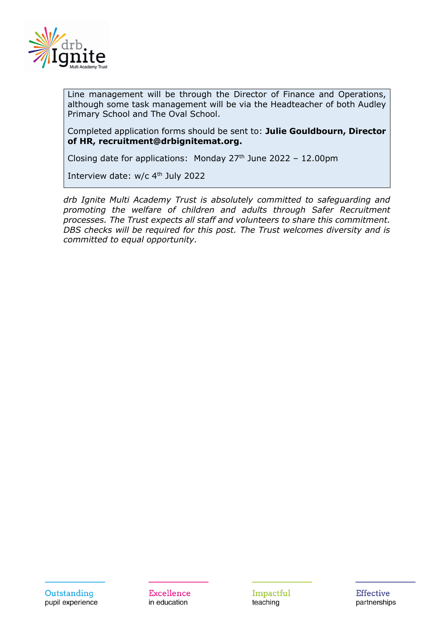

Line management will be through the Director of Finance and Operations, although some task management will be via the Headteacher of both Audley Primary School and The Oval School.

Completed application forms should be sent to: **Julie Gouldbourn, Director of HR, recruitment@drbignitemat.org.**

Closing date for applications: Monday  $27<sup>th</sup>$  June 2022 - 12.00pm

Interview date: w/c 4<sup>th</sup> July 2022

*drb Ignite Multi Academy Trust is absolutely committed to safeguarding and promoting the welfare of children and adults through Safer Recruitment processes. The Trust expects all staff and volunteers to share this commitment. DBS checks will be required for this post. The Trust welcomes diversity and is committed to equal opportunity.*

Excellence in education

Impactful teaching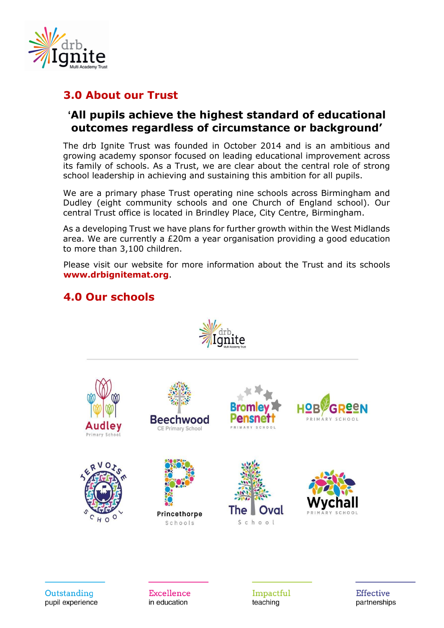

## **3.0 About our Trust**

## **'All pupils achieve the highest standard of educational outcomes regardless of circumstance or background'**

The drb Ignite Trust was founded in October 2014 and is an ambitious and growing academy sponsor focused on leading educational improvement across its family of schools. As a Trust, we are clear about the central role of strong school leadership in achieving and sustaining this ambition for all pupils.

We are a primary phase Trust operating nine schools across Birmingham and Dudley (eight community schools and one Church of England school). Our central Trust office is located in Brindley Place, City Centre, Birmingham.

As a developing Trust we have plans for further growth within the West Midlands area. We are currently a £20m a year organisation providing a good education to more than 3,100 children.

Please visit our website for more information about the Trust and its schools **[www.drbignitemat.or](http://www.drbignitemat./)g**.

## **4.0 Our schools**



Outstanding pupil experience **Excellence** in education

Impactful teaching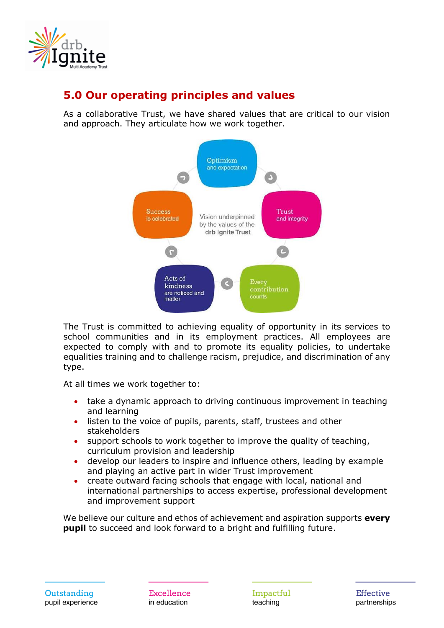

## **5.0 Our operating principles and values**

As a collaborative Trust, we have shared values that are critical to our vision and approach. They articulate how we work together.



The Trust is committed to achieving equality of opportunity in its services to school communities and in its employment practices. All employees are expected to comply with and to promote its equality policies, to undertake equalities training and to challenge racism, prejudice, and discrimination of any type.

At all times we work together to:

- take a dynamic approach to driving continuous improvement in teaching and learning
- listen to the voice of pupils, parents, staff, trustees and other stakeholders
- support schools to work together to improve the quality of teaching, curriculum provision and leadership
- develop our leaders to inspire and influence others, leading by example and playing an active part in wider Trust improvement
- create outward facing schools that engage with local, national and international partnerships to access expertise, professional development and improvement support

We believe our culture and ethos of achievement and aspiration supports **every pupil** to succeed and look forward to a bright and fulfilling future.

Excellence in education

Impactful teaching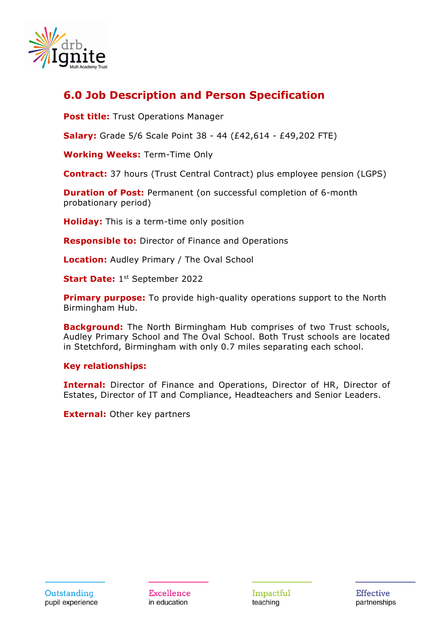

## **6.0 Job Description and Person Specification**

**Post title:** Trust Operations Manager

**Salary:** Grade 5/6 Scale Point 38 - 44 (£42,614 - £49,202 FTE)

**Working Weeks:** Term-Time Only

**Contract:** 37 hours (Trust Central Contract) plus employee pension (LGPS)

**Duration of Post:** Permanent (on successful completion of 6-month probationary period)

**Holiday:** This is a term-time only position

**Responsible to:** Director of Finance and Operations

**Location:** Audley Primary / The Oval School

**Start Date:** 1st September 2022

**Primary purpose:** To provide high-quality operations support to the North Birmingham Hub.

**Background:** The North Birmingham Hub comprises of two Trust schools, Audley Primary School and The Oval School. Both Trust schools are located in Stetchford, Birmingham with only 0.7 miles separating each school.

#### **Key relationships:**

**Internal:** Director of Finance and Operations, Director of HR, Director of Estates, Director of IT and Compliance, Headteachers and Senior Leaders.

**External:** Other key partners

Excellence in education

Impactful teaching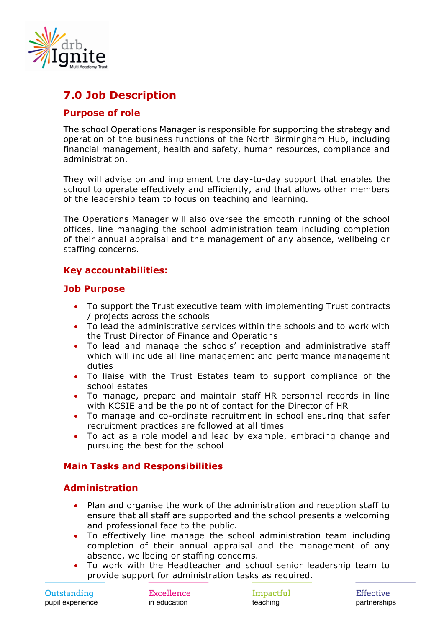

## **7.0 Job Description**

#### **Purpose of role**

The school Operations Manager is responsible for supporting the strategy and operation of the business functions of the North Birmingham Hub, including financial management, health and safety, human resources, compliance and administration.

They will advise on and implement the day-to-day support that enables the school to operate effectively and efficiently, and that allows other members of the leadership team to focus on teaching and learning.

The Operations Manager will also oversee the smooth running of the school offices, line managing the school administration team including completion of their annual appraisal and the management of any absence, wellbeing or staffing concerns.

#### **Key accountabilities:**

#### **Job Purpose**

- To support the Trust executive team with implementing Trust contracts / projects across the schools
- To lead the administrative services within the schools and to work with the Trust Director of Finance and Operations
- To lead and manage the schools' reception and administrative staff which will include all line management and performance management duties
- To liaise with the Trust Estates team to support compliance of the school estates
- To manage, prepare and maintain staff HR personnel records in line with KCSIE and be the point of contact for the Director of HR
- To manage and co-ordinate recruitment in school ensuring that safer recruitment practices are followed at all times
- To act as a role model and lead by example, embracing change and pursuing the best for the school

#### **Main Tasks and Responsibilities**

#### **Administration**

- Plan and organise the work of the administration and reception staff to ensure that all staff are supported and the school presents a welcoming and professional face to the public.
- To effectively line manage the school administration team including completion of their annual appraisal and the management of any absence, wellbeing or staffing concerns.
- To work with the Headteacher and school senior leadership team to provide support for administration tasks as required.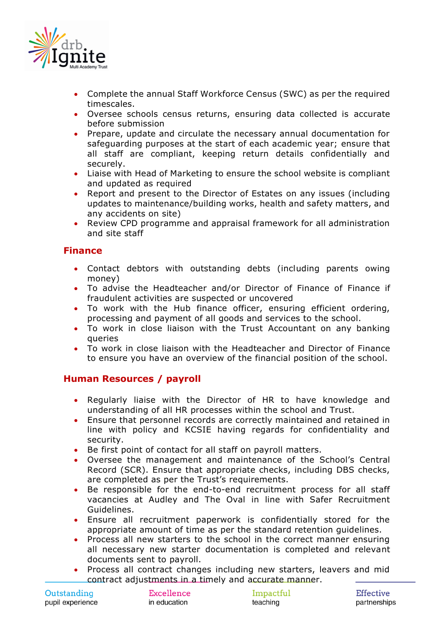

- Complete the annual Staff Workforce Census (SWC) as per the required timescales.
- Oversee schools census returns, ensuring data collected is accurate before submission
- Prepare, update and circulate the necessary annual documentation for safeguarding purposes at the start of each academic year; ensure that all staff are compliant, keeping return details confidentially and securely.
- Liaise with Head of Marketing to ensure the school website is compliant and updated as required
- Report and present to the Director of Estates on any issues (including updates to maintenance/building works, health and safety matters, and any accidents on site)
- Review CPD programme and appraisal framework for all administration and site staff

#### **Finance**

- Contact debtors with outstanding debts (including parents owing money)
- To advise the Headteacher and/or Director of Finance of Finance if fraudulent activities are suspected or uncovered
- To work with the Hub finance officer, ensuring efficient ordering, processing and payment of all goods and services to the school.
- To work in close liaison with the Trust Accountant on any banking queries
- To work in close liaison with the Headteacher and Director of Finance to ensure you have an overview of the financial position of the school.

#### **Human Resources / payroll**

- Regularly liaise with the Director of HR to have knowledge and understanding of all HR processes within the school and Trust.
- Ensure that personnel records are correctly maintained and retained in line with policy and KCSIE having regards for confidentiality and security.
- Be first point of contact for all staff on payroll matters.
- Oversee the management and maintenance of the School's Central Record (SCR). Ensure that appropriate checks, including DBS checks, are completed as per the Trust's requirements.
- Be responsible for the end-to-end recruitment process for all staff vacancies at Audley and The Oval in line with Safer Recruitment Guidelines.
- Ensure all recruitment paperwork is confidentially stored for the appropriate amount of time as per the standard retention guidelines.
- Process all new starters to the school in the correct manner ensuring all necessary new starter documentation is completed and relevant documents sent to payroll.
- Process all contract changes including new starters, leavers and mid contract adjustments in a timely and accurate manner.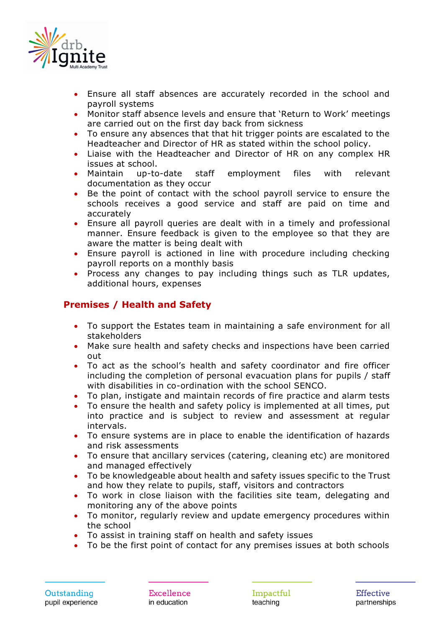

- Ensure all staff absences are accurately recorded in the school and payroll systems
- Monitor staff absence levels and ensure that 'Return to Work' meetings are carried out on the first day back from sickness
- To ensure any absences that that hit trigger points are escalated to the Headteacher and Director of HR as stated within the school policy.
- Liaise with the Headteacher and Director of HR on any complex HR issues at school.
- Maintain up-to-date staff employment files with relevant documentation as they occur
- Be the point of contact with the school payroll service to ensure the schools receives a good service and staff are paid on time and accurately
- Ensure all payroll queries are dealt with in a timely and professional manner. Ensure feedback is given to the employee so that they are aware the matter is being dealt with
- Ensure payroll is actioned in line with procedure including checking payroll reports on a monthly basis
- Process any changes to pay including things such as TLR updates, additional hours, expenses

#### **Premises / Health and Safety**

- To support the Estates team in maintaining a safe environment for all stakeholders
- Make sure health and safety checks and inspections have been carried out
- To act as the school's health and safety coordinator and fire officer including the completion of personal evacuation plans for pupils / staff with disabilities in co-ordination with the school SENCO.
- To plan, instigate and maintain records of fire practice and alarm tests
- To ensure the health and safety policy is implemented at all times, put into practice and is subject to review and assessment at regular intervals.
- To ensure systems are in place to enable the identification of hazards and risk assessments
- To ensure that ancillary services (catering, cleaning etc) are monitored and managed effectively
- To be knowledgeable about health and safety issues specific to the Trust and how they relate to pupils, staff, visitors and contractors
- To work in close liaison with the facilities site team, delegating and monitoring any of the above points
- To monitor, regularly review and update emergency procedures within the school
- To assist in training staff on health and safety issues
- To be the first point of contact for any premises issues at both schools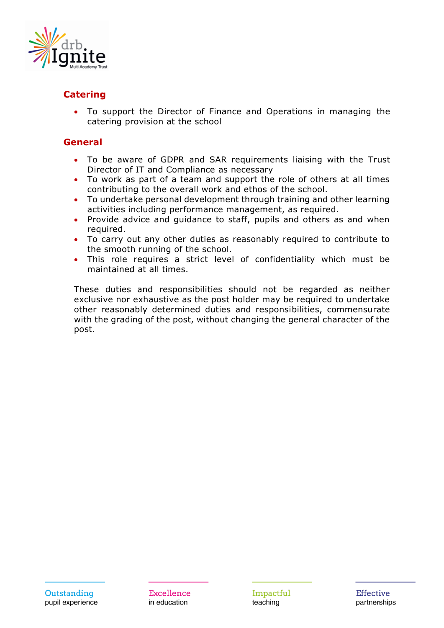

#### **Catering**

• To support the Director of Finance and Operations in managing the catering provision at the school

#### **General**

- To be aware of GDPR and SAR requirements liaising with the Trust Director of IT and Compliance as necessary
- To work as part of a team and support the role of others at all times contributing to the overall work and ethos of the school.
- To undertake personal development through training and other learning activities including performance management, as required.
- Provide advice and guidance to staff, pupils and others as and when required.
- To carry out any other duties as reasonably required to contribute to the smooth running of the school.
- This role requires a strict level of confidentiality which must be maintained at all times.

These duties and responsibilities should not be regarded as neither exclusive nor exhaustive as the post holder may be required to undertake other reasonably determined duties and responsibilities, commensurate with the grading of the post, without changing the general character of the post.

Excellence in education

Impactful teaching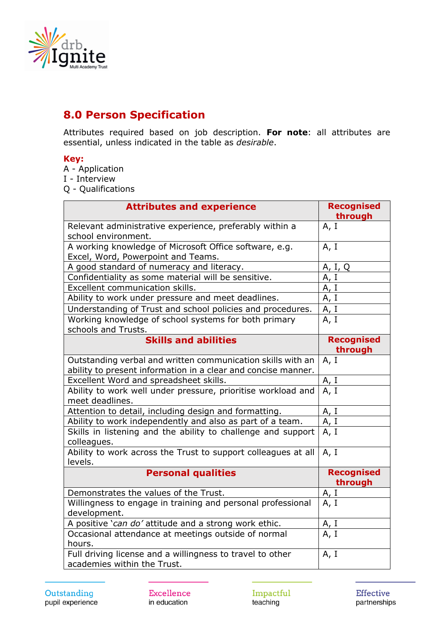

## **8.0 Person Specification**

Attributes required based on job description. **For note**: all attributes are essential, unless indicated in the table as *desirable*.

#### **Key:**

- A Application
- I Interview
- Q Qualifications

| <b>Attributes and experience</b>                                                                                             | <b>Recognised</b><br>through |
|------------------------------------------------------------------------------------------------------------------------------|------------------------------|
| Relevant administrative experience, preferably within a<br>school environment.                                               | A, I                         |
| A working knowledge of Microsoft Office software, e.g.<br>Excel, Word, Powerpoint and Teams.                                 | A, I                         |
| A good standard of numeracy and literacy.                                                                                    | A, I, Q                      |
| Confidentiality as some material will be sensitive.                                                                          | A, I                         |
| Excellent communication skills.                                                                                              | A, I                         |
| Ability to work under pressure and meet deadlines.                                                                           | A, I                         |
| Understanding of Trust and school policies and procedures.                                                                   | A, I                         |
| Working knowledge of school systems for both primary<br>schools and Trusts.                                                  | A, I                         |
| <b>Skills and abilities</b>                                                                                                  | <b>Recognised</b><br>through |
| Outstanding verbal and written communication skills with an<br>ability to present information in a clear and concise manner. | A, I                         |
| Excellent Word and spreadsheet skills.                                                                                       | A, I                         |
| Ability to work well under pressure, prioritise workload and<br>meet deadlines.                                              | A, I                         |
| Attention to detail, including design and formatting.                                                                        | A, I                         |
| Ability to work independently and also as part of a team.                                                                    | A, I                         |
| Skills in listening and the ability to challenge and support<br>colleagues.                                                  | A, I                         |
| Ability to work across the Trust to support colleagues at all<br>levels.                                                     | A, I                         |
| <b>Personal qualities</b>                                                                                                    | <b>Recognised</b><br>through |
| Demonstrates the values of the Trust.                                                                                        | $\frac{A, I}{A, I}$          |
| Willingness to engage in training and personal professional                                                                  |                              |
| development.                                                                                                                 |                              |
| A positive 'can do' attitude and a strong work ethic.                                                                        | $A, I$<br>$A, I$             |
| Occasional attendance at meetings outside of normal<br>hours.                                                                |                              |
| Full driving license and a willingness to travel to other<br>academies within the Trust.                                     | A, I                         |